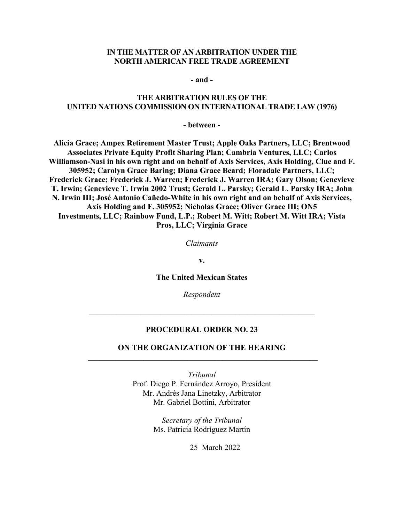#### **IN THE MATTER OF AN ARBITRATION UNDER THE NORTH AMERICAN FREE TRADE AGREEMENT**

**- and -**

#### **THE ARBITRATION RULES OF THE UNITED NATIONS COMMISSION ON INTERNATIONAL TRADE LAW (1976)**

**- between -**

**Alicia Grace; Ampex Retirement Master Trust; Apple Oaks Partners, LLC; Brentwood Associates Private Equity Profit Sharing Plan; Cambria Ventures, LLC; Carlos Williamson-Nasi in his own right and on behalf of Axis Services, Axis Holding, Clue and F. 305952; Carolyn Grace Baring; Diana Grace Beard; Floradale Partners, LLC; Frederick Grace; Frederick J. Warren; Frederick J. Warren IRA; Gary Olson; Genevieve T. Irwin; Genevieve T. Irwin 2002 Trust; Gerald L. Parsky; Gerald L. Parsky IRA; John N. Irwin III; José Antonio Cañedo-White in his own right and on behalf of Axis Services, Axis Holding and F. 305952; Nicholas Grace; Oliver Grace III; ON5 Investments, LLC; Rainbow Fund, L.P.; Robert M. Witt; Robert M. Witt IRA; Vista Pros, LLC; Virginia Grace**

*Claimants*

**v.** 

**The United Mexican States**

*Respondent*

#### **PROCEDURAL ORDER NO. 23**

**\_\_\_\_\_\_\_\_\_\_\_\_\_\_\_\_\_\_\_\_\_\_\_\_\_\_\_\_\_\_\_\_\_\_\_\_\_\_\_\_\_\_\_\_\_\_\_\_\_\_\_\_\_\_\_\_\_**

### **ON THE ORGANIZATION OF THE HEARING \_\_\_\_\_\_\_\_\_\_\_\_\_\_\_\_\_\_\_\_\_\_\_\_\_\_\_\_\_\_\_\_\_\_\_\_\_\_\_\_\_\_\_\_\_\_\_\_\_\_\_\_\_\_\_\_\_\_**

*Tribunal* Prof. Diego P. Fernández Arroyo, President Mr. Andrés Jana Linetzky, Arbitrator Mr. Gabriel Bottini, Arbitrator

> *Secretary of the Tribunal* Ms. Patricia Rodríguez Martín

> > 25 March 2022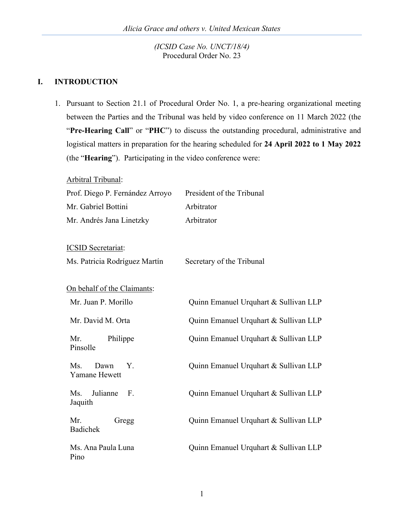## **I. INTRODUCTION**

Pino

1. Pursuant to Section 21.1 of Procedural Order No. 1, a pre-hearing organizational meeting between the Parties and the Tribunal was held by video conference on 11 March 2022 (the "**Pre-Hearing Call**" or "**PHC**") to discuss the outstanding procedural, administrative and logistical matters in preparation for the hearing scheduled for **24 April 2022 to 1 May 2022** (the "**Hearing**"). Participating in the video conference were:

Arbitral Tribunal: Prof. Diego P. Fernández Arroyo President of the Tribunal Mr. Gabriel Bottini Arbitrator Mr. Andrés Jana Linetzky Arbitrator ICSID Secretariat: Ms. Patricia Rodríguez Martín Secretary of the Tribunal On behalf of the Claimants: Mr. Juan P. Morillo **Quinn Emanuel Urquhart & Sullivan LLP** Mr. David M. Orta **Quinn Emanuel Urquhart & Sullivan LLP** Mr. Philippe Pinsolle Quinn Emanuel Urquhart & Sullivan LLP Ms. Dawn Y. Yamane Hewett Quinn Emanuel Urquhart & Sullivan LLP Ms. Julianne F. Jaquith Quinn Emanuel Urquhart & Sullivan LLP Mr. Gregg Badichek Quinn Emanuel Urquhart & Sullivan LLP Ms. Ana Paula Luna Quinn Emanuel Urquhart & Sullivan LLP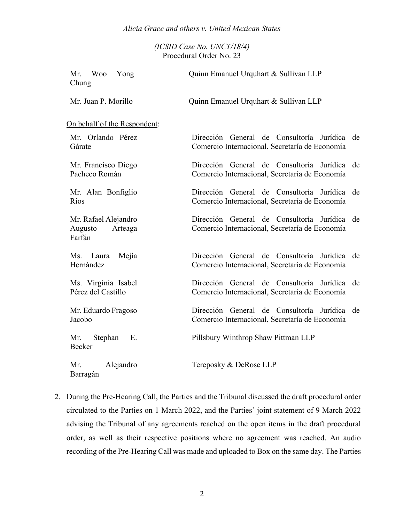| <b>Woo</b><br>Mr.<br>Yong<br>Chung                   | Quinn Emanuel Urquhart & Sullivan LLP                                                             |
|------------------------------------------------------|---------------------------------------------------------------------------------------------------|
| Mr. Juan P. Morillo                                  | Quinn Emanuel Urquhart & Sullivan LLP                                                             |
| On behalf of the Respondent:                         |                                                                                                   |
| Mr. Orlando Pérez<br>Gárate                          | Dirección General de Consultoría Jurídica de<br>Comercio Internacional, Secretaría de Economía    |
| Mr. Francisco Diego<br>Pacheco Román                 | Dirección General de Consultoría Jurídica<br>de<br>Comercio Internacional, Secretaría de Economía |
| Mr. Alan Bonfiglio<br>Ríos                           | Dirección General de Consultoría Jurídica<br>de<br>Comercio Internacional, Secretaría de Economía |
| Mr. Rafael Alejandro<br>Augusto<br>Arteaga<br>Farfán | Dirección General de Consultoría Jurídica de<br>Comercio Internacional, Secretaría de Economía    |
| Ms. Laura<br>Mejía<br>Hernández                      | Dirección General de Consultoría Jurídica de<br>Comercio Internacional, Secretaría de Economía    |
| Ms. Virginia Isabel<br>Pérez del Castillo            | Dirección General de Consultoría Jurídica<br>de<br>Comercio Internacional, Secretaría de Economía |
| Mr. Eduardo Fragoso<br>Jacobo                        | Dirección General de Consultoría Jurídica<br>de<br>Comercio Internacional, Secretaría de Economía |
| E.<br>Mr.<br>Stephan<br>Becker                       | Pillsbury Winthrop Shaw Pittman LLP                                                               |
| Alejandro<br>Mr.<br>Barragán                         | Tereposky & DeRose LLP                                                                            |

2. During the Pre-Hearing Call, the Parties and the Tribunal discussed the draft procedural order circulated to the Parties on 1 March 2022, and the Parties' joint statement of 9 March 2022 advising the Tribunal of any agreements reached on the open items in the draft procedural order, as well as their respective positions where no agreement was reached. An audio recording of the Pre-Hearing Call was made and uploaded to Box on the same day. The Parties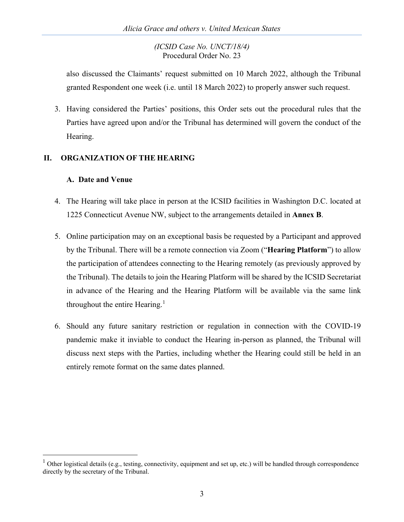also discussed the Claimants' request submitted on 10 March 2022, although the Tribunal granted Respondent one week (i.e. until 18 March 2022) to properly answer such request.

3. Having considered the Parties' positions, this Order sets out the procedural rules that the Parties have agreed upon and/or the Tribunal has determined will govern the conduct of the Hearing.

# **II. ORGANIZATION OF THE HEARING**

# **A. Date and Venue**

- 4. The Hearing will take place in person at the ICSID facilities in Washington D.C. located at 1225 Connecticut Avenue NW, subject to the arrangements detailed in **Annex B**.
- 5. Online participation may on an exceptional basis be requested by a Participant and approved by the Tribunal. There will be a remote connection via Zoom ("**Hearing Platform**") to allow the participation of attendees connecting to the Hearing remotely (as previously approved by the Tribunal). The details to join the Hearing Platform will be shared by the ICSID Secretariat in advance of the Hearing and the Hearing Platform will be available via the same link throughout the entire Hearing.<sup>[1](#page-3-0)</sup>
- 6. Should any future sanitary restriction or regulation in connection with the COVID-19 pandemic make it inviable to conduct the Hearing in-person as planned, the Tribunal will discuss next steps with the Parties, including whether the Hearing could still be held in an entirely remote format on the same dates planned.

<span id="page-3-0"></span> $1$  Other logistical details (e.g., testing, connectivity, equipment and set up, etc.) will be handled through correspondence directly by the secretary of the Tribunal.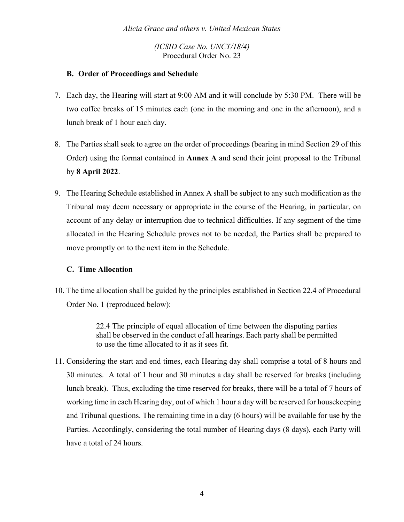# **B. Order of Proceedings and Schedule**

- 7. Each day, the Hearing will start at 9:00 AM and it will conclude by 5:30 PM. There will be two coffee breaks of 15 minutes each (one in the morning and one in the afternoon), and a lunch break of 1 hour each day.
- 8. The Parties shall seek to agree on the order of proceedings (bearing in mind Section 29 of this Order) using the format contained in **Annex A** and send their joint proposal to the Tribunal by **8 April 2022**.
- 9. The Hearing Schedule established in Annex A shall be subject to any such modification as the Tribunal may deem necessary or appropriate in the course of the Hearing, in particular, on account of any delay or interruption due to technical difficulties. If any segment of the time allocated in the Hearing Schedule proves not to be needed, the Parties shall be prepared to move promptly on to the next item in the Schedule.

# **C. Time Allocation**

10. The time allocation shall be guided by the principles established in Section 22.4 of Procedural Order No. 1 (reproduced below):

> 22.4 The principle of equal allocation of time between the disputing parties shall be observed in the conduct of all hearings. Each party shall be permitted to use the time allocated to it as it sees fit.

11. Considering the start and end times, each Hearing day shall comprise a total of 8 hours and 30 minutes. A total of 1 hour and 30 minutes a day shall be reserved for breaks (including lunch break). Thus, excluding the time reserved for breaks, there will be a total of 7 hours of working time in each Hearing day, out of which 1 hour a day will be reserved for housekeeping and Tribunal questions. The remaining time in a day (6 hours) will be available for use by the Parties. Accordingly, considering the total number of Hearing days (8 days), each Party will have a total of 24 hours.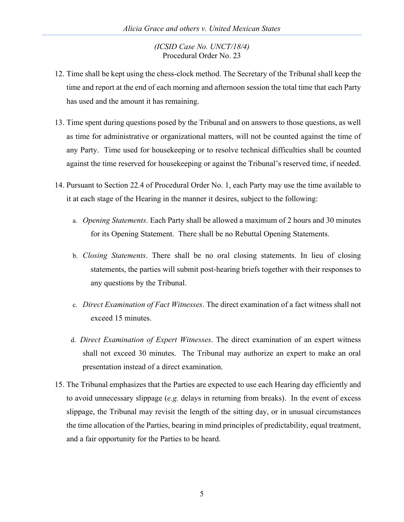- 12. Time shall be kept using the chess-clock method. The Secretary of the Tribunal shall keep the time and report at the end of each morning and afternoon session the total time that each Party has used and the amount it has remaining.
- 13. Time spent during questions posed by the Tribunal and on answers to those questions, as well as time for administrative or organizational matters, will not be counted against the time of any Party. Time used for housekeeping or to resolve technical difficulties shall be counted against the time reserved for housekeeping or against the Tribunal's reserved time, if needed.
- 14. Pursuant to Section 22.4 of Procedural Order No. 1, each Party may use the time available to it at each stage of the Hearing in the manner it desires, subject to the following:
	- a. *Opening Statements*. Each Party shall be allowed a maximum of 2 hours and 30 minutes for its Opening Statement. There shall be no Rebuttal Opening Statements.
	- b. *Closing Statements*. There shall be no oral closing statements. In lieu of closing statements, the parties will submit post-hearing briefs together with their responses to any questions by the Tribunal.
	- c. *Direct Examination of Fact Witnesses*. The direct examination of a fact witness shall not exceed 15 minutes.
	- d. *Direct Examination of Expert Witnesses*. The direct examination of an expert witness shall not exceed 30 minutes. The Tribunal may authorize an expert to make an oral presentation instead of a direct examination.
- 15. The Tribunal emphasizes that the Parties are expected to use each Hearing day efficiently and to avoid unnecessary slippage (*e.g.* delays in returning from breaks). In the event of excess slippage, the Tribunal may revisit the length of the sitting day, or in unusual circumstances the time allocation of the Parties, bearing in mind principles of predictability, equal treatment, and a fair opportunity for the Parties to be heard.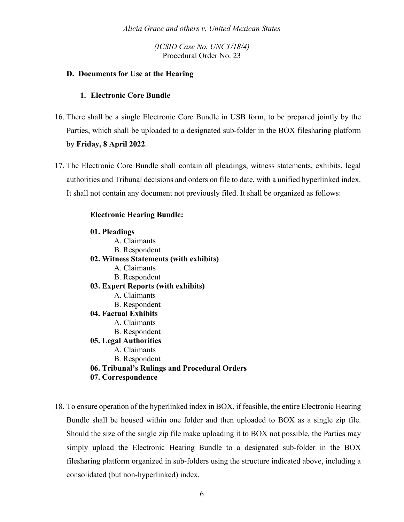## **D. Documents for Use at the Hearing**

### **1. Electronic Core Bundle**

- 16. There shall be a single Electronic Core Bundle in USB form, to be prepared jointly by the Parties, which shall be uploaded to a designated sub-folder in the BOX filesharing platform by **Friday, 8 April 2022**.
- 17. The Electronic Core Bundle shall contain all pleadings, witness statements, exhibits, legal authorities and Tribunal decisions and orders on file to date, with a unified hyperlinked index. It shall not contain any document not previously filed. It shall be organized as follows:

### **Electronic Hearing Bundle:**

#### **01. Pleadings**

- A. Claimants B. Respondent **02. Witness Statements (with exhibits)** A. Claimants B. Respondent **03. Expert Reports (with exhibits)** A. Claimants B. Respondent **04. Factual Exhibits** A. Claimants B. Respondent **05. Legal Authorities** A. Claimants B. Respondent
- **06. Tribunal's Rulings and Procedural Orders**
- **07. Correspondence**
- 18. To ensure operation of the hyperlinked index in BOX, if feasible, the entire Electronic Hearing Bundle shall be housed within one folder and then uploaded to BOX as a single zip file. Should the size of the single zip file make uploading it to BOX not possible, the Parties may simply upload the Electronic Hearing Bundle to a designated sub-folder in the BOX filesharing platform organized in sub-folders using the structure indicated above, including a consolidated (but non-hyperlinked) index.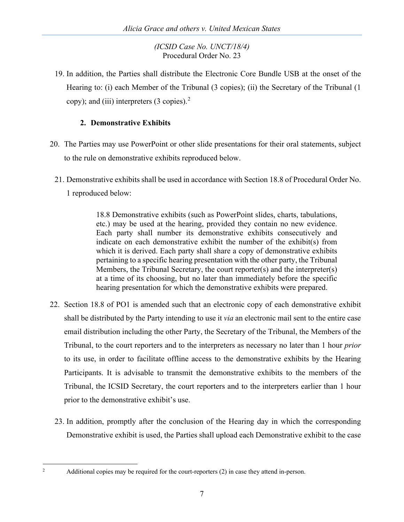19. In addition, the Parties shall distribute the Electronic Core Bundle USB at the onset of the Hearing to: (i) each Member of the Tribunal (3 copies); (ii) the Secretary of the Tribunal (1 copy); and (iii) interpreters  $(3 \text{ copies})$ .<sup>[2](#page-7-0)</sup>

# **2. Demonstrative Exhibits**

- 20. The Parties may use PowerPoint or other slide presentations for their oral statements, subject to the rule on demonstrative exhibits reproduced below.
	- 21. Demonstrative exhibits shall be used in accordance with Section 18.8 of Procedural Order No. 1 reproduced below:

18.8 Demonstrative exhibits (such as PowerPoint slides, charts, tabulations, etc.) may be used at the hearing, provided they contain no new evidence. Each party shall number its demonstrative exhibits consecutively and indicate on each demonstrative exhibit the number of the exhibit(s) from which it is derived. Each party shall share a copy of demonstrative exhibits pertaining to a specific hearing presentation with the other party, the Tribunal Members, the Tribunal Secretary, the court reporter(s) and the interpreter(s) at a time of its choosing, but no later than immediately before the specific hearing presentation for which the demonstrative exhibits were prepared.

- 22. Section 18.8 of PO1 is amended such that an electronic copy of each demonstrative exhibit shall be distributed by the Party intending to use it *via* an electronic mail sent to the entire case email distribution including the other Party, the Secretary of the Tribunal, the Members of the Tribunal, to the court reporters and to the interpreters as necessary no later than 1 hour *prior* to its use, in order to facilitate offline access to the demonstrative exhibits by the Hearing Participants. It is advisable to transmit the demonstrative exhibits to the members of the Tribunal, the ICSID Secretary, the court reporters and to the interpreters earlier than 1 hour prior to the demonstrative exhibit's use.
	- 23. In addition, promptly after the conclusion of the Hearing day in which the corresponding Demonstrative exhibit is used, the Parties shall upload each Demonstrative exhibit to the case

<span id="page-7-0"></span> $2^2$  Additional copies may be required for the court-reporters (2) in case they attend in-person.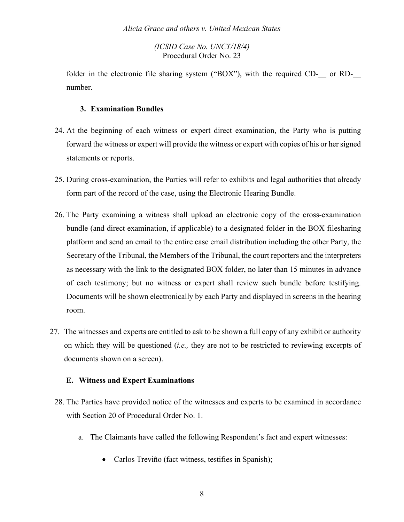folder in the electronic file sharing system ("BOX"), with the required CD- $\qquad$  or RDnumber.

## **3. Examination Bundles**

- 24. At the beginning of each witness or expert direct examination, the Party who is putting forward the witness or expert will provide the witness or expert with copies of his or her signed statements or reports.
- 25. During cross-examination, the Parties will refer to exhibits and legal authorities that already form part of the record of the case, using the Electronic Hearing Bundle.
- 26. The Party examining a witness shall upload an electronic copy of the cross-examination bundle (and direct examination, if applicable) to a designated folder in the BOX filesharing platform and send an email to the entire case email distribution including the other Party, the Secretary of the Tribunal, the Members of the Tribunal, the court reporters and the interpreters as necessary with the link to the designated BOX folder, no later than 15 minutes in advance of each testimony; but no witness or expert shall review such bundle before testifying. Documents will be shown electronically by each Party and displayed in screens in the hearing room.
- 27. The witnesses and experts are entitled to ask to be shown a full copy of any exhibit or authority on which they will be questioned (*i.e.,* they are not to be restricted to reviewing excerpts of documents shown on a screen).

# **E. Witness and Expert Examinations**

- 28. The Parties have provided notice of the witnesses and experts to be examined in accordance with Section 20 of Procedural Order No. 1.
	- a. The Claimants have called the following Respondent's fact and expert witnesses:
		- Carlos Treviño (fact witness, testifies in Spanish);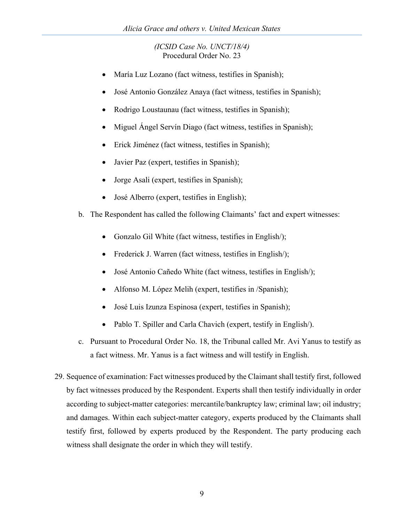- María Luz Lozano (fact witness, testifies in Spanish);
- José Antonio González Anaya (fact witness, testifies in Spanish);
- Rodrigo Loustaunau (fact witness, testifies in Spanish);
- Miguel Ángel Servín Diago (fact witness, testifies in Spanish);
- Erick Jiménez (fact witness, testifies in Spanish);
- Javier Paz (expert, testifies in Spanish);
- Jorge Asali (expert, testifies in Spanish);
- José Alberro (expert, testifies in English);
- b. The Respondent has called the following Claimants' fact and expert witnesses:
	- Gonzalo Gil White (fact witness, testifies in English/);
	- Frederick J. Warren (fact witness, testifies in English/);
	- José Antonio Cañedo White (fact witness, testifies in English/);
	- Alfonso M. López Melih (expert, testifies in /Spanish);
	- José Luis Izunza Espinosa (expert, testifies in Spanish);
	- Pablo T. Spiller and Carla Chavich (expert, testify in English).
- c. Pursuant to Procedural Order No. 18, the Tribunal called Mr. Avi Yanus to testify as a fact witness. Mr. Yanus is a fact witness and will testify in English.
- 29. Sequence of examination: Fact witnesses produced by the Claimant shall testify first, followed by fact witnesses produced by the Respondent. Experts shall then testify individually in order according to subject-matter categories: mercantile/bankruptcy law; criminal law; oil industry; and damages. Within each subject-matter category, experts produced by the Claimants shall testify first, followed by experts produced by the Respondent. The party producing each witness shall designate the order in which they will testify.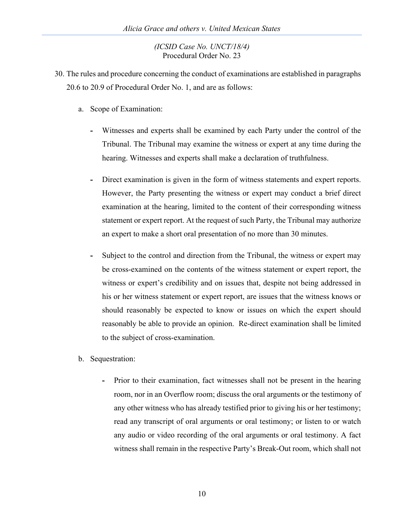- 30. The rules and procedure concerning the conduct of examinations are established in paragraphs 20.6 to 20.9 of Procedural Order No. 1, and are as follows:
	- a. Scope of Examination:
		- **-** Witnesses and experts shall be examined by each Party under the control of the Tribunal. The Tribunal may examine the witness or expert at any time during the hearing. Witnesses and experts shall make a declaration of truthfulness.
		- **-** Direct examination is given in the form of witness statements and expert reports. However, the Party presenting the witness or expert may conduct a brief direct examination at the hearing, limited to the content of their corresponding witness statement or expert report. At the request of such Party, the Tribunal may authorize an expert to make a short oral presentation of no more than 30 minutes.
		- **-** Subject to the control and direction from the Tribunal, the witness or expert may be cross-examined on the contents of the witness statement or expert report, the witness or expert's credibility and on issues that, despite not being addressed in his or her witness statement or expert report, are issues that the witness knows or should reasonably be expected to know or issues on which the expert should reasonably be able to provide an opinion. Re-direct examination shall be limited to the subject of cross-examination.
	- b. Sequestration:
		- **-** Prior to their examination, fact witnesses shall not be present in the hearing room, nor in an Overflow room; discuss the oral arguments or the testimony of any other witness who has already testified prior to giving his or her testimony; read any transcript of oral arguments or oral testimony; or listen to or watch any audio or video recording of the oral arguments or oral testimony. A fact witness shall remain in the respective Party's Break-Out room, which shall not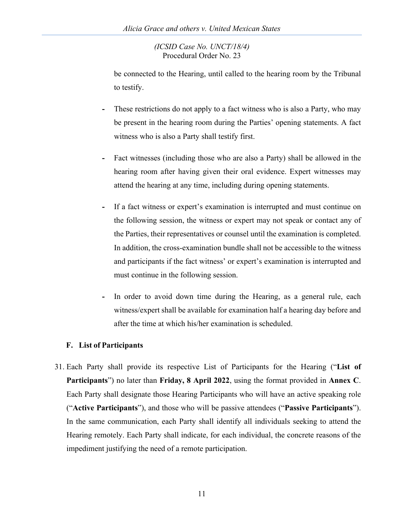be connected to the Hearing, until called to the hearing room by the Tribunal to testify.

- **-** These restrictions do not apply to a fact witness who is also a Party, who may be present in the hearing room during the Parties' opening statements. A fact witness who is also a Party shall testify first.
- **-** Fact witnesses (including those who are also a Party) shall be allowed in the hearing room after having given their oral evidence. Expert witnesses may attend the hearing at any time, including during opening statements.
- **-** If a fact witness or expert's examination is interrupted and must continue on the following session, the witness or expert may not speak or contact any of the Parties, their representatives or counsel until the examination is completed. In addition, the cross-examination bundle shall not be accessible to the witness and participants if the fact witness' or expert's examination is interrupted and must continue in the following session.
- **-** In order to avoid down time during the Hearing, as a general rule, each witness/expert shall be available for examination half a hearing day before and after the time at which his/her examination is scheduled.

# **F. List of Participants**

31. Each Party shall provide its respective List of Participants for the Hearing ("**List of Participants**") no later than **Friday, 8 April 2022**, using the format provided in **Annex C**. Each Party shall designate those Hearing Participants who will have an active speaking role ("**Active Participants**"), and those who will be passive attendees ("**Passive Participants**"). In the same communication, each Party shall identify all individuals seeking to attend the Hearing remotely. Each Party shall indicate, for each individual, the concrete reasons of the impediment justifying the need of a remote participation.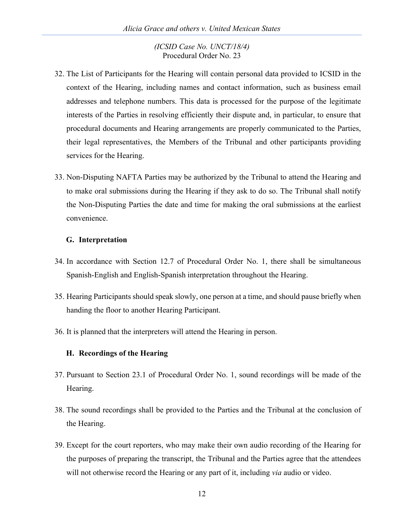- 32. The List of Participants for the Hearing will contain personal data provided to ICSID in the context of the Hearing, including names and contact information, such as business email addresses and telephone numbers. This data is processed for the purpose of the legitimate interests of the Parties in resolving efficiently their dispute and, in particular, to ensure that procedural documents and Hearing arrangements are properly communicated to the Parties, their legal representatives, the Members of the Tribunal and other participants providing services for the Hearing.
- 33. Non-Disputing NAFTA Parties may be authorized by the Tribunal to attend the Hearing and to make oral submissions during the Hearing if they ask to do so. The Tribunal shall notify the Non-Disputing Parties the date and time for making the oral submissions at the earliest convenience.

# **G. Interpretation**

- 34. In accordance with Section 12.7 of Procedural Order No. 1, there shall be simultaneous Spanish-English and English-Spanish interpretation throughout the Hearing.
- 35. Hearing Participants should speak slowly, one person at a time, and should pause briefly when handing the floor to another Hearing Participant.
- 36. It is planned that the interpreters will attend the Hearing in person.

# **H. Recordings of the Hearing**

- 37. Pursuant to Section 23.1 of Procedural Order No. 1, sound recordings will be made of the Hearing.
- 38. The sound recordings shall be provided to the Parties and the Tribunal at the conclusion of the Hearing.
- 39. Except for the court reporters, who may make their own audio recording of the Hearing for the purposes of preparing the transcript, the Tribunal and the Parties agree that the attendees will not otherwise record the Hearing or any part of it, including *via* audio or video.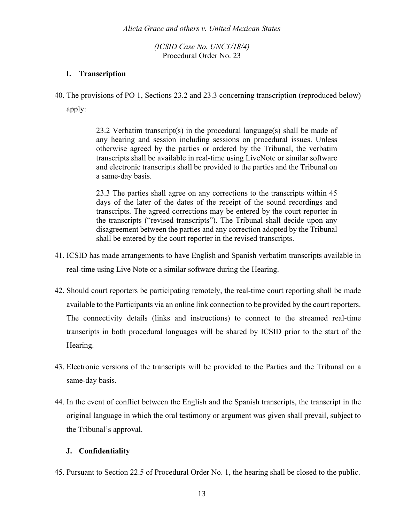# **I. Transcription**

40. The provisions of PO 1, Sections 23.2 and 23.3 concerning transcription (reproduced below) apply:

> 23.2 Verbatim transcript(s) in the procedural language(s) shall be made of any hearing and session including sessions on procedural issues. Unless otherwise agreed by the parties or ordered by the Tribunal, the verbatim transcripts shall be available in real-time using LiveNote or similar software and electronic transcripts shall be provided to the parties and the Tribunal on a same-day basis.

> 23.3 The parties shall agree on any corrections to the transcripts within 45 days of the later of the dates of the receipt of the sound recordings and transcripts. The agreed corrections may be entered by the court reporter in the transcripts ("revised transcripts"). The Tribunal shall decide upon any disagreement between the parties and any correction adopted by the Tribunal shall be entered by the court reporter in the revised transcripts.

- 41. ICSID has made arrangements to have English and Spanish verbatim transcripts available in real-time using Live Note or a similar software during the Hearing.
- 42. Should court reporters be participating remotely, the real-time court reporting shall be made available to the Participants via an online link connection to be provided by the court reporters. The connectivity details (links and instructions) to connect to the streamed real-time transcripts in both procedural languages will be shared by ICSID prior to the start of the Hearing.
- 43. Electronic versions of the transcripts will be provided to the Parties and the Tribunal on a same-day basis.
- 44. In the event of conflict between the English and the Spanish transcripts, the transcript in the original language in which the oral testimony or argument was given shall prevail, subject to the Tribunal's approval.

# **J. Confidentiality**

45. Pursuant to Section 22.5 of Procedural Order No. 1, the hearing shall be closed to the public.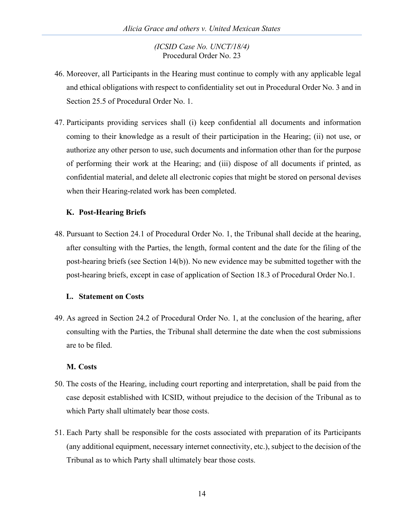- 46. Moreover, all Participants in the Hearing must continue to comply with any applicable legal and ethical obligations with respect to confidentiality set out in Procedural Order No. 3 and in Section 25.5 of Procedural Order No. 1.
- 47. Participants providing services shall (i) keep confidential all documents and information coming to their knowledge as a result of their participation in the Hearing; (ii) not use, or authorize any other person to use, such documents and information other than for the purpose of performing their work at the Hearing; and (iii) dispose of all documents if printed, as confidential material, and delete all electronic copies that might be stored on personal devises when their Hearing-related work has been completed.

# **K. Post-Hearing Briefs**

48. Pursuant to Section 24.1 of Procedural Order No. 1, the Tribunal shall decide at the hearing, after consulting with the Parties, the length, formal content and the date for the filing of the post-hearing briefs (see Section 14(b)). No new evidence may be submitted together with the post-hearing briefs, except in case of application of Section 18.3 of Procedural Order No.1.

# **L. Statement on Costs**

49. As agreed in Section 24.2 of Procedural Order No. 1, at the conclusion of the hearing, after consulting with the Parties, the Tribunal shall determine the date when the cost submissions are to be filed.

# **M. Costs**

- 50. The costs of the Hearing, including court reporting and interpretation, shall be paid from the case deposit established with ICSID, without prejudice to the decision of the Tribunal as to which Party shall ultimately bear those costs.
- 51. Each Party shall be responsible for the costs associated with preparation of its Participants (any additional equipment, necessary internet connectivity, etc.), subject to the decision of the Tribunal as to which Party shall ultimately bear those costs.